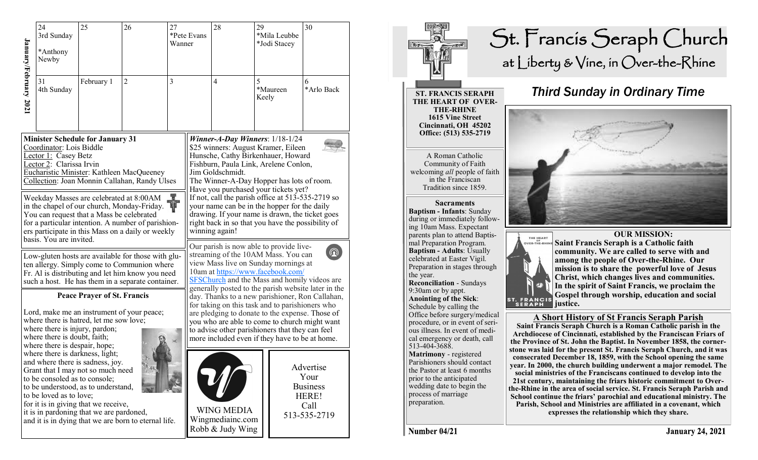| January/February 2021                                                                                                                                                                                                          | 24<br>3rd Sunday<br>*Anthony<br>Newby<br>31                                                                                                                                                                                                                                                                                                                                                                                                                                             | 25<br>February 1 | 26<br>27<br>$\overline{2}$<br>3                                                            |                                                                                                                                                                                                                                                                  | *Pete Evans<br>Wanner | 28<br>$\overline{4}$                                                                                                                                                                                                                                                                                                                                               | 29<br>*Mila Leubbe<br>*Jodi Stacey<br>5 | 30<br>6                                                               |  |  |
|--------------------------------------------------------------------------------------------------------------------------------------------------------------------------------------------------------------------------------|-----------------------------------------------------------------------------------------------------------------------------------------------------------------------------------------------------------------------------------------------------------------------------------------------------------------------------------------------------------------------------------------------------------------------------------------------------------------------------------------|------------------|--------------------------------------------------------------------------------------------|------------------------------------------------------------------------------------------------------------------------------------------------------------------------------------------------------------------------------------------------------------------|-----------------------|--------------------------------------------------------------------------------------------------------------------------------------------------------------------------------------------------------------------------------------------------------------------------------------------------------------------------------------------------------------------|-----------------------------------------|-----------------------------------------------------------------------|--|--|
|                                                                                                                                                                                                                                | 4th Sunday                                                                                                                                                                                                                                                                                                                                                                                                                                                                              |                  |                                                                                            |                                                                                                                                                                                                                                                                  |                       |                                                                                                                                                                                                                                                                                                                                                                    | *Maureen<br>Keely                       | *Arlo Back                                                            |  |  |
|                                                                                                                                                                                                                                | <b>Minister Schedule for January 31</b><br>Coordinator: Lois Biddle<br>Lector 1: Casey Betz<br>Lector 2: Clarissa Irvin                                                                                                                                                                                                                                                                                                                                                                 |                  | Eucharistic Minister: Kathleen MacQueeney<br>Collection: Joan Monnin Callahan, Randy Ulses | Winner-A-Day Winners: $1/18-1/24$<br>\$25 winners: August Kramer, Eileen<br>Hunsche, Cathy Birkenhauer, Howard<br>Fishburn, Paula Link, Arelene Conlon,<br>Jim Goldschmidt.<br>The Winner-A-Day Hopper has lots of room.<br>Have you purchased your tickets yet? |                       |                                                                                                                                                                                                                                                                                                                                                                    |                                         |                                                                       |  |  |
|                                                                                                                                                                                                                                | Weekday Masses are celebrated at 8:00AM<br>in the chapel of our church, Monday-Friday.<br>You can request that a Mass be celebrated<br>for a particular intention. A number of parishion-<br>ers participate in this Mass on a daily or weekly<br>basis. You are invited.<br>Low-gluten hosts are available for those with glu-<br>ten allergy. Simply come to Communion where<br>Fr. Al is distributing and let him know you need<br>such a host. He has them in a separate container. |                  |                                                                                            |                                                                                                                                                                                                                                                                  |                       | If not, call the parish office at 513-535-2719 so<br>your name can be in the hopper for the daily<br>drawing. If your name is drawn, the ticket goes<br>right back in so that you have the possibility of<br>winning again!                                                                                                                                        |                                         |                                                                       |  |  |
|                                                                                                                                                                                                                                |                                                                                                                                                                                                                                                                                                                                                                                                                                                                                         |                  |                                                                                            |                                                                                                                                                                                                                                                                  |                       | Our parish is now able to provide live-<br>$\bm{\Omega}$<br>streaming of the 10AM Mass. You can<br>view Mass live on Sunday mornings at<br>10am at https://www.facebook.com/<br><b>SFSChurch</b> and the Mass and homily videos are                                                                                                                                |                                         |                                                                       |  |  |
| <b>Peace Prayer of St. Francis</b><br>Lord, make me an instrument of your peace;<br>where there is hatred, let me sow love;<br>where there is injury, pardon;<br>where there is doubt, faith;<br>where there is despair, hope; |                                                                                                                                                                                                                                                                                                                                                                                                                                                                                         |                  |                                                                                            |                                                                                                                                                                                                                                                                  |                       | generally posted to the parish website later in the<br>day. Thanks to a new parishioner, Ron Callahan,<br>for taking on this task and to parishioners who<br>are pledging to donate to the expense. Those of<br>you who are able to come to church might want<br>to advise other parishioners that they can feel<br>more included even if they have to be at home. |                                         |                                                                       |  |  |
|                                                                                                                                                                                                                                | where there is darkness, light;<br>and where there is sadness, joy.<br>Grant that I may not so much need<br>to be consoled as to console;<br>to be understood, as to understand,<br>to be loved as to love;<br>for it is in giving that we receive,<br>it is in pardoning that we are pardoned,<br>and it is in dying that we are born to eternal life.                                                                                                                                 |                  |                                                                                            |                                                                                                                                                                                                                                                                  |                       | <b>WING MEDIA</b><br>Wingmediainc.com<br>Robb & Judy Wing                                                                                                                                                                                                                                                                                                          |                                         | Advertise<br>Your<br><b>Business</b><br>HERE!<br>Call<br>513-535-2719 |  |  |